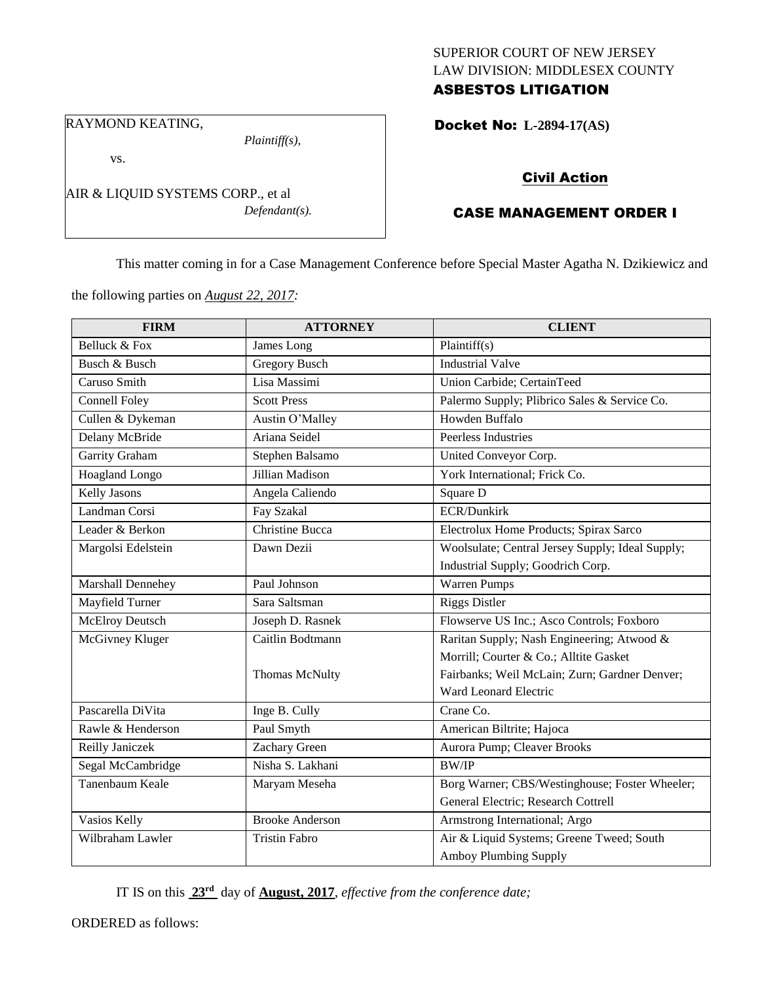## SUPERIOR COURT OF NEW JERSEY LAW DIVISION: MIDDLESEX COUNTY ASBESTOS LITIGATION

Docket No: **L-2894-17(AS)** 

RAYMOND KEATING,

vs.

*Plaintiff(s),*

Civil Action

# CASE MANAGEMENT ORDER I

This matter coming in for a Case Management Conference before Special Master Agatha N. Dzikiewicz and

the following parties on *August 22, 2017:*

AIR & LIQUID SYSTEMS CORP., et al

| <b>FIRM</b>          | <b>ATTORNEY</b>        | <b>CLIENT</b>                                    |
|----------------------|------------------------|--------------------------------------------------|
| Belluck & Fox        | James Long             | Plaintiff(s)                                     |
| Busch & Busch        | <b>Gregory Busch</b>   | <b>Industrial Valve</b>                          |
| Caruso Smith         | Lisa Massimi           | Union Carbide; CertainTeed                       |
| <b>Connell Foley</b> | <b>Scott Press</b>     | Palermo Supply; Plibrico Sales & Service Co.     |
| Cullen & Dykeman     | Austin O'Malley        | Howden Buffalo                                   |
| Delany McBride       | Ariana Seidel          | Peerless Industries                              |
| Garrity Graham       | Stephen Balsamo        | United Conveyor Corp.                            |
| Hoagland Longo       | Jillian Madison        | York International; Frick Co.                    |
| Kelly Jasons         | Angela Caliendo        | Square D                                         |
| Landman Corsi        | Fay Szakal             | <b>ECR/Dunkirk</b>                               |
| Leader & Berkon      | <b>Christine Bucca</b> | Electrolux Home Products; Spirax Sarco           |
| Margolsi Edelstein   | Dawn Dezii             | Woolsulate; Central Jersey Supply; Ideal Supply; |
|                      |                        | Industrial Supply; Goodrich Corp.                |
| Marshall Dennehey    | Paul Johnson           | Warren Pumps                                     |
| Mayfield Turner      | Sara Saltsman          | <b>Riggs Distler</b>                             |
| McElroy Deutsch      | Joseph D. Rasnek       | Flowserve US Inc.; Asco Controls; Foxboro        |
| McGivney Kluger      | Caitlin Bodtmann       | Raritan Supply; Nash Engineering; Atwood &       |
|                      |                        | Morrill; Courter & Co.; Alltite Gasket           |
|                      | Thomas McNulty         | Fairbanks; Weil McLain; Zurn; Gardner Denver;    |
|                      |                        | Ward Leonard Electric                            |
| Pascarella DiVita    | Inge B. Cully          | Crane Co.                                        |
| Rawle & Henderson    | Paul Smyth             | American Biltrite; Hajoca                        |
| Reilly Janiczek      | Zachary Green          | Aurora Pump; Cleaver Brooks                      |
| Segal McCambridge    | Nisha S. Lakhani       | <b>BW/IP</b>                                     |
| Tanenbaum Keale      | Maryam Meseha          | Borg Warner; CBS/Westinghouse; Foster Wheeler;   |
|                      |                        | General Electric; Research Cottrell              |
| Vasios Kelly         | <b>Brooke Anderson</b> | Armstrong International; Argo                    |
| Wilbraham Lawler     | <b>Tristin Fabro</b>   | Air & Liquid Systems; Greene Tweed; South        |
|                      |                        | Amboy Plumbing Supply                            |

IT IS on this **23rd** day of **August, 2017**, *effective from the conference date;*

ORDERED as follows:

*Defendant(s).*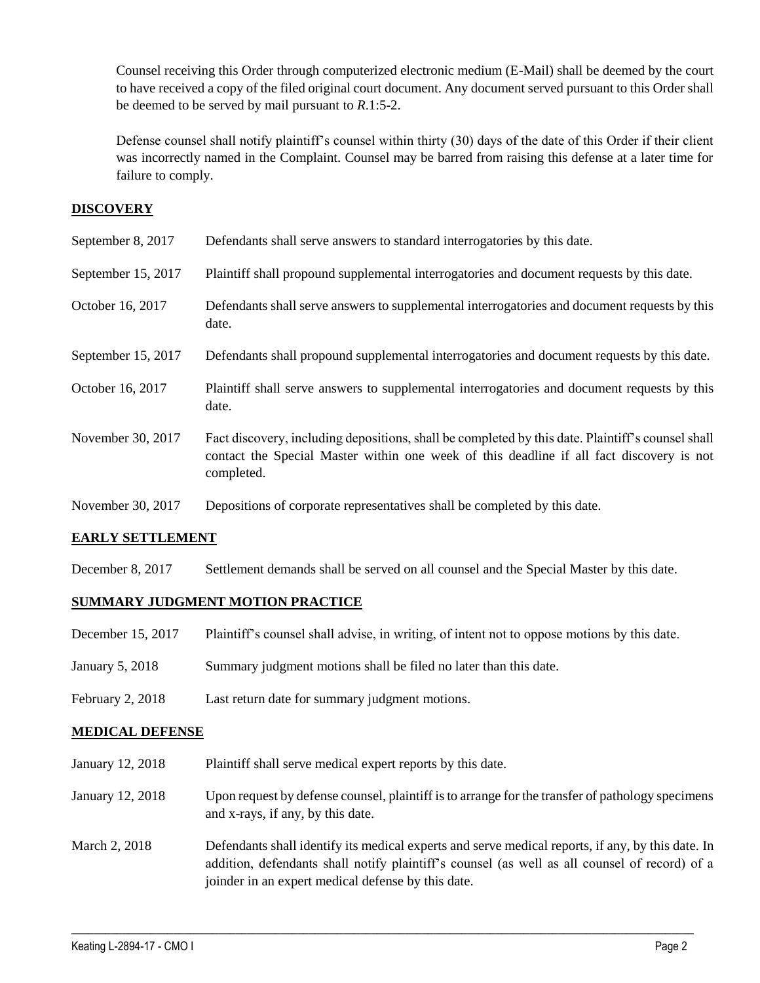Counsel receiving this Order through computerized electronic medium (E-Mail) shall be deemed by the court to have received a copy of the filed original court document. Any document served pursuant to this Order shall be deemed to be served by mail pursuant to *R*.1:5-2.

Defense counsel shall notify plaintiff's counsel within thirty (30) days of the date of this Order if their client was incorrectly named in the Complaint. Counsel may be barred from raising this defense at a later time for failure to comply.

## **DISCOVERY**

| September 8, 2017  | Defendants shall serve answers to standard interrogatories by this date.                                                                                                                                    |
|--------------------|-------------------------------------------------------------------------------------------------------------------------------------------------------------------------------------------------------------|
| September 15, 2017 | Plaintiff shall propound supplemental interrogatories and document requests by this date.                                                                                                                   |
| October 16, 2017   | Defendants shall serve answers to supplemental interrogatories and document requests by this<br>date.                                                                                                       |
| September 15, 2017 | Defendants shall propound supplemental interrogatories and document requests by this date.                                                                                                                  |
| October 16, 2017   | Plaintiff shall serve answers to supplemental interrogatories and document requests by this<br>date.                                                                                                        |
| November 30, 2017  | Fact discovery, including depositions, shall be completed by this date. Plaintiff's counsel shall<br>contact the Special Master within one week of this deadline if all fact discovery is not<br>completed. |
| November 30, 2017  | Depositions of corporate representatives shall be completed by this date.                                                                                                                                   |

## **EARLY SETTLEMENT**

December 8, 2017 Settlement demands shall be served on all counsel and the Special Master by this date.

## **SUMMARY JUDGMENT MOTION PRACTICE**

- December 15, 2017 Plaintiff's counsel shall advise, in writing, of intent not to oppose motions by this date.
- January 5, 2018 Summary judgment motions shall be filed no later than this date.
- February 2, 2018 Last return date for summary judgment motions.

#### **MEDICAL DEFENSE**

- January 12, 2018 Plaintiff shall serve medical expert reports by this date.
- January 12, 2018 Upon request by defense counsel, plaintiff is to arrange for the transfer of pathology specimens and x-rays, if any, by this date.
- March 2, 2018 Defendants shall identify its medical experts and serve medical reports, if any, by this date. In addition, defendants shall notify plaintiff's counsel (as well as all counsel of record) of a joinder in an expert medical defense by this date.

 $\_$  ,  $\_$  ,  $\_$  ,  $\_$  ,  $\_$  ,  $\_$  ,  $\_$  ,  $\_$  ,  $\_$  ,  $\_$  ,  $\_$  ,  $\_$  ,  $\_$  ,  $\_$  ,  $\_$  ,  $\_$  ,  $\_$  ,  $\_$  ,  $\_$  ,  $\_$  ,  $\_$  ,  $\_$  ,  $\_$  ,  $\_$  ,  $\_$  ,  $\_$  ,  $\_$  ,  $\_$  ,  $\_$  ,  $\_$  ,  $\_$  ,  $\_$  ,  $\_$  ,  $\_$  ,  $\_$  ,  $\_$  ,  $\_$  ,